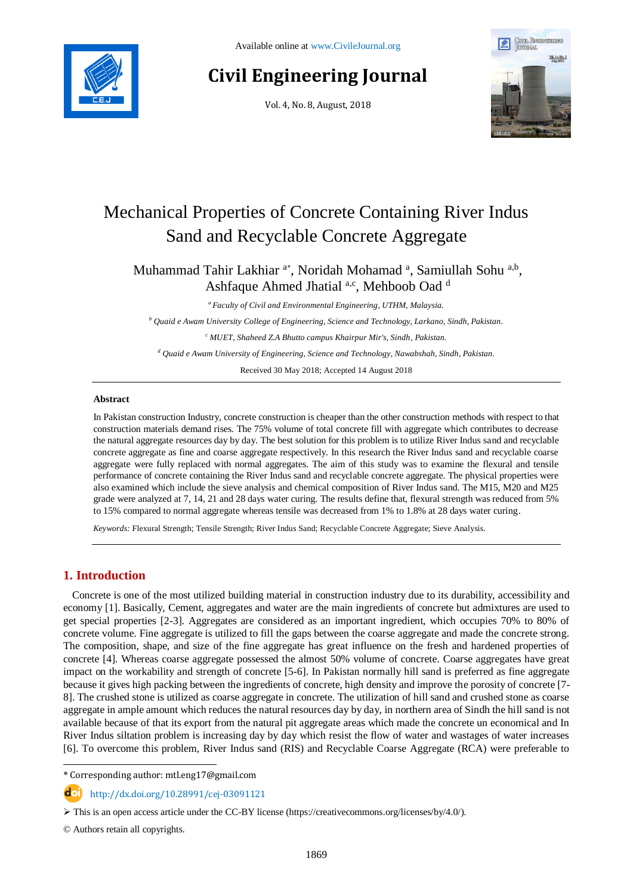

# **Civil Engineering Journal**

Vol. 4, No. 8, August, 2018



# Mechanical Properties of Concrete Containing River Indus Sand and Recyclable Concrete Aggregate

Muhammad Tahir Lakhiar<sup>a\*</sup>, Noridah Mohamad<sup>a</sup>, Samiullah Sohu<sup>a,b</sup>, Ashfaque Ahmed Jhatial a,c, Mehboob Oad d

*<sup>a</sup> Faculty of Civil and Environmental Engineering, UTHM, Malaysia.*

*<sup>b</sup> Quaid e Awam University College of Engineering, Science and Technology, Larkano, Sindh, Pakistan.*

*<sup>c</sup> MUET, Shaheed Z.A Bhutto campus Khairpur Mir's, Sindh, Pakistan.*

*<sup>d</sup> Quaid e Awam University of Engineering, Science and Technology, Nawabshah, Sindh, Pakistan.*

Received 30 May 2018; Accepted 14 August 2018

## **Abstract**

In Pakistan construction Industry, concrete construction is cheaper than the other construction methods with respect to that construction materials demand rises. The 75% volume of total concrete fill with aggregate which contributes to decrease the natural aggregate resources day by day. The best solution for this problem is to utilize River Indus sand and recyclable concrete aggregate as fine and coarse aggregate respectively. In this research the River Indus sand and recyclable coarse aggregate were fully replaced with normal aggregates. The aim of this study was to examine the flexural and tensile performance of concrete containing the River Indus sand and recyclable concrete aggregate. The physical properties were also examined which include the sieve analysis and chemical composition of River Indus sand. The M15, M20 and M25 grade were analyzed at 7, 14, 21 and 28 days water curing. The results define that, flexural strength was reduced from 5% to 15% compared to normal aggregate whereas tensile was decreased from 1% to 1.8% at 28 days water curing.

*Keywords:* Flexural Strength; Tensile Strength; River Indus Sand; Recyclable Concrete Aggregate; Sieve Analysis.

# **1. Introduction**

Concrete is one of the most utilized building material in construction industry due to its durability, accessibility and economy [1]. Basically, Cement, aggregates and water are the main ingredients of concrete but admixtures are used to get special properties [2-3]. Aggregates are considered as an important ingredient, which occupies 70% to 80% of concrete volume. Fine aggregate is utilized to fill the gaps between the coarse aggregate and made the concrete strong. The composition, shape, and size of the fine aggregate has great influence on the fresh and hardened properties of concrete [4]. Whereas coarse aggregate possessed the almost 50% volume of concrete. Coarse aggregates have great impact on the workability and strength of concrete [5-6]. In Pakistan normally hill sand is preferred as fine aggregate because it gives high packing between the ingredients of concrete, high density and improve the porosity of concrete [7- 8]. The crushed stone is utilized as coarse aggregate in concrete. The utilization of hill sand and crushed stone as coarse aggregate in ample amount which reduces the natural resources day by day, in northern area of Sindh the hill sand is not available because of that its export from the natural pit aggregate areas which made the concrete un economical and In River Indus siltation problem is increasing day by day which resist the flow of water and wastages of water increases [6]. To overcome this problem, River Indus sand (RIS) and Recyclable Coarse Aggregate (RCA) were preferable to

l \* Corresponding author: mtl.eng17@gmail.com

http://dx.doi.org/10.28991/cej-03091121

© Authors retain all copyrights.

 $\triangleright$  This is an open access article under the CC-BY license [\(https://creativecommons.org/licenses/by/4.0/\)](https://creativecommons.org/licenses/by/4.0/).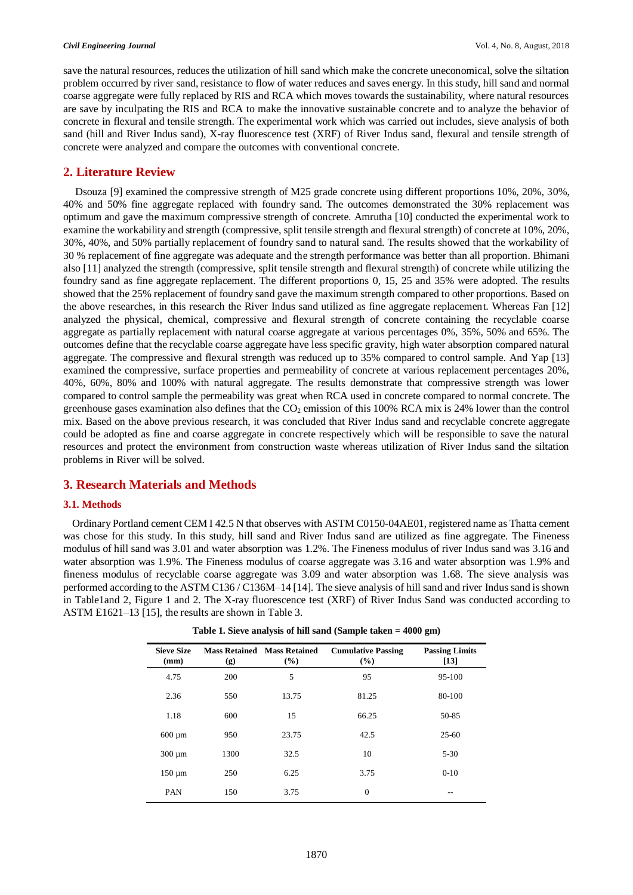save the natural resources, reduces the utilization of hill sand which make the concrete uneconomical, solve the siltation problem occurred by river sand, resistance to flow of water reduces and saves energy. In this study, hill sand and normal coarse aggregate were fully replaced by RIS and RCA which moves towards the sustainability, where natural resources are save by inculpating the RIS and RCA to make the innovative sustainable concrete and to analyze the behavior of concrete in flexural and tensile strength. The experimental work which was carried out includes, sieve analysis of both sand (hill and River Indus sand), X-ray fluorescence test (XRF) of River Indus sand, flexural and tensile strength of concrete were analyzed and compare the outcomes with conventional concrete.

# **2. Literature Review**

Dsouza [9] examined the compressive strength of M25 grade concrete using different proportions 10%, 20%, 30%, 40% and 50% fine aggregate replaced with foundry sand. The outcomes demonstrated the 30% replacement was optimum and gave the maximum compressive strength of concrete. Amrutha [10] conducted the experimental work to examine the workability and strength (compressive, split tensile strength and flexural strength) of concrete at 10%, 20%, 30%, 40%, and 50% partially replacement of foundry sand to natural sand. The results showed that the workability of 30 % replacement of fine aggregate was adequate and the strength performance was better than all proportion. Bhimani also [11] analyzed the strength (compressive, split tensile strength and flexural strength) of concrete while utilizing the foundry sand as fine aggregate replacement. The different proportions 0, 15, 25 and 35% were adopted. The results showed that the 25% replacement of foundry sand gave the maximum strength compared to other proportions. Based on the above researches, in this research the River Indus sand utilized as fine aggregate replacement. Whereas Fan [12] analyzed the physical, chemical, compressive and flexural strength of concrete containing the recyclable coarse aggregate as partially replacement with natural coarse aggregate at various percentages 0%, 35%, 50% and 65%. The outcomes define that the recyclable coarse aggregate have less specific gravity, high water absorption compared natural aggregate. The compressive and flexural strength was reduced up to 35% compared to control sample. And Yap [13] examined the compressive, surface properties and permeability of concrete at various replacement percentages 20%, 40%, 60%, 80% and 100% with natural aggregate. The results demonstrate that compressive strength was lower compared to control sample the permeability was great when RCA used in concrete compared to normal concrete. The greenhouse gases examination also defines that the  $CO<sub>2</sub>$  emission of this 100% RCA mix is 24% lower than the control mix. Based on the above previous research, it was concluded that River Indus sand and recyclable concrete aggregate could be adopted as fine and coarse aggregate in concrete respectively which will be responsible to save the natural resources and protect the environment from construction waste whereas utilization of River Indus sand the siltation problems in River will be solved.

# **3. Research Materials and Methods**

# **3.1. Methods**

Ordinary Portland cement CEM I 42.5 N that observes with ASTM C0150-04AE01, registered name as Thatta cement was chose for this study. In this study, hill sand and River Indus sand are utilized as fine aggregate. The Fineness modulus of hill sand was 3.01 and water absorption was 1.2%. The Fineness modulus of river Indus sand was 3.16 and water absorption was 1.9%. The Fineness modulus of coarse aggregate was 3.16 and water absorption was 1.9% and fineness modulus of recyclable coarse aggregate was 3.09 and water absorption was 1.68. The sieve analysis was performed according to the ASTM C136 / C136M–14 [14]. The sieve analysis of hill sand and river Indus sand is shown in Table1and 2, Figure 1 and 2. The X-ray fluorescence test (XRF) of River Indus Sand was conducted according to ASTM E1621–13 [15], the results are shown in Table 3.

| <b>Sieve Size</b><br>(mm) | (g)  | <b>Mass Retained Mass Retained</b><br>(%) | <b>Cumulative Passing</b><br>(%) | <b>Passing Limits</b><br>[13] |
|---------------------------|------|-------------------------------------------|----------------------------------|-------------------------------|
| 4.75                      | 200  | 5                                         | 95                               | 95-100                        |
| 2.36                      | 550  | 13.75                                     | 81.25                            | 80-100                        |
| 1.18                      | 600  | 15                                        | 66.25                            | 50-85                         |
| $600 \mu m$               | 950  | 23.75                                     | 42.5                             | $25 - 60$                     |
| $300 \mu m$               | 1300 | 32.5                                      | 10                               | $5 - 30$                      |
| $150 \mu m$               | 250  | 6.25                                      | 3.75                             | $0-10$                        |
| <b>PAN</b>                | 150  | 3.75                                      | $\overline{0}$                   | $-$                           |

**Table 1. Sieve analysis of hill sand (Sample taken = 4000 gm)**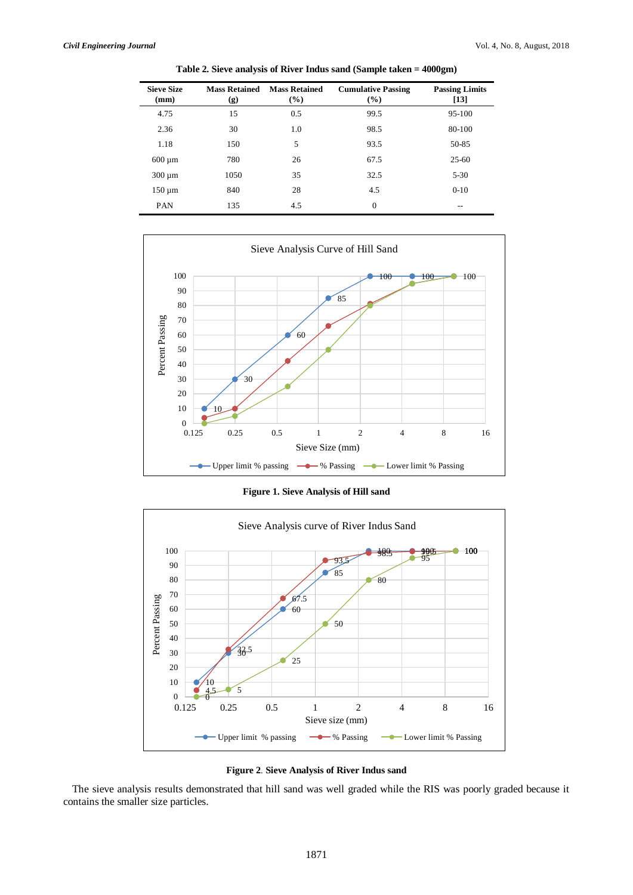| <b>Sieve Size</b><br>(mm) | <b>Mass Retained</b><br>(g) | <b>Mass Retained</b><br>$(\%)$ | <b>Cumulative Passing</b><br>(%) | <b>Passing Limits</b><br>$[13]$ |
|---------------------------|-----------------------------|--------------------------------|----------------------------------|---------------------------------|
| 4.75                      | 15                          | 0.5                            | 99.5                             | 95-100                          |
| 2.36                      | 30                          | 1.0                            | 98.5                             | 80-100                          |
| 1.18                      | 150                         | 5                              | 93.5                             | 50-85                           |
| $600 \mu m$               | 780                         | 26                             | 67.5                             | $25-60$                         |
| $300 \mu m$               | 1050                        | 35                             | 32.5                             | $5 - 30$                        |
| $150 \mu m$               | 840                         | 28                             | 4.5                              | $0 - 10$                        |
| <b>PAN</b>                | 135                         | 4.5                            | $\mathbf{0}$                     | --                              |
|                           |                             |                                |                                  |                                 |

**Table 2. Sieve analysis of River Indus sand (Sample taken = 4000gm)**



**Figure 1. Sieve Analysis of Hill sand**





The sieve analysis results demonstrated that hill sand was well graded while the RIS was poorly graded because it contains the smaller size particles.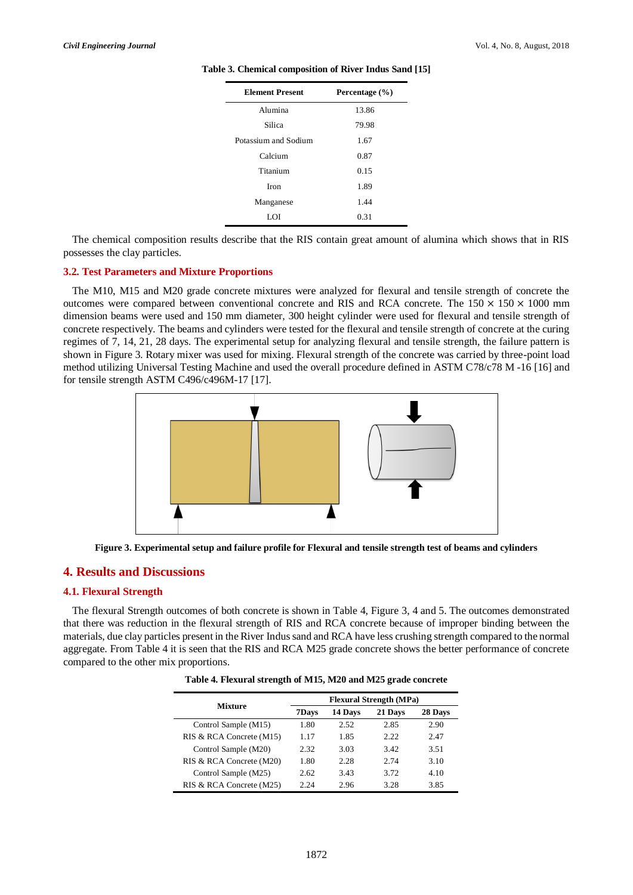| <b>Element Present</b> | Percentage $(\% )$ |
|------------------------|--------------------|
| Alumina                | 13.86              |
| Silica                 | 79.98              |
| Potassium and Sodium   | 1.67               |
| Calcium                | 0.87               |
| Titanium               | 0.15               |
| <b>Iron</b>            | 1.89               |
| Manganese              | 1.44               |
| LOI                    | 0.31               |

#### **Table 3. Chemical composition of River Indus Sand [15]**

The chemical composition results describe that the RIS contain great amount of alumina which shows that in RIS possesses the clay particles.

#### **3.2. Test Parameters and Mixture Proportions**

The M10, M15 and M20 grade concrete mixtures were analyzed for flexural and tensile strength of concrete the outcomes were compared between conventional concrete and RIS and RCA concrete. The  $150 \times 150 \times 1000$  mm dimension beams were used and 150 mm diameter, 300 height cylinder were used for flexural and tensile strength of concrete respectively. The beams and cylinders were tested for the flexural and tensile strength of concrete at the curing regimes of 7, 14, 21, 28 days. The experimental setup for analyzing flexural and tensile strength, the failure pattern is shown in Figure 3. Rotary mixer was used for mixing. Flexural strength of the concrete was carried by three-point load method utilizing Universal Testing Machine and used the overall procedure defined in ASTM C78/c78 M -16 [16] and for tensile strength ASTM C496/c496M-17 [17].



**Figure 3. Experimental setup and failure profile for Flexural and tensile strength test of beams and cylinders**

### **4. Results and Discussions**

## **4.1. Flexural Strength**

The flexural Strength outcomes of both concrete is shown in Table 4, Figure 3, 4 and 5. The outcomes demonstrated that there was reduction in the flexural strength of RIS and RCA concrete because of improper binding between the materials, due clay particles present in the River Indus sand and RCA have less crushing strength compared to the normal aggregate. From Table 4 it is seen that the RIS and RCA M25 grade concrete shows the better performance of concrete compared to the other mix proportions.

| Table 4. Flexural strength of M15, M20 and M25 grade concrete |  |  |  |  |
|---------------------------------------------------------------|--|--|--|--|
|---------------------------------------------------------------|--|--|--|--|

|                          | <b>Flexural Strength (MPa)</b> |         |         |         |
|--------------------------|--------------------------------|---------|---------|---------|
| <b>Mixture</b>           | 7Days                          | 14 Days | 21 Days | 28 Days |
| Control Sample (M15)     | 1.80                           | 2.52    | 2.85    | 2.90    |
| RIS & RCA Concrete (M15) | 1.17                           | 1.85    | 2.22    | 2.47    |
| Control Sample (M20)     | 2.32                           | 3.03    | 3.42    | 3.51    |
| RIS & RCA Concrete (M20) | 1.80                           | 2.28    | 2.74    | 3.10    |
| Control Sample (M25)     | 2.62                           | 3.43    | 3.72    | 4.10    |
| RIS & RCA Concrete (M25) | 2 24                           | 2.96    | 3.28    | 3.85    |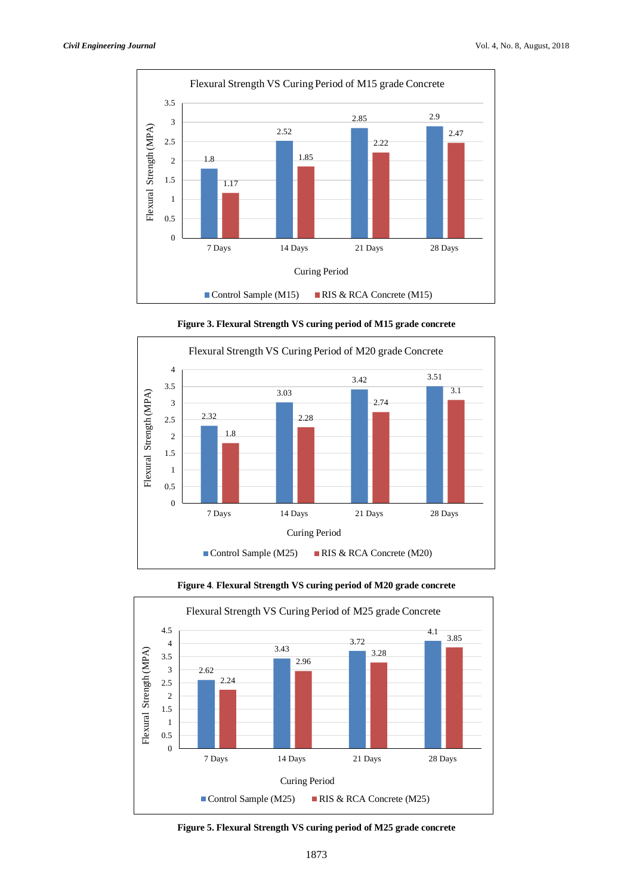



**Figure 3. Flexural Strength VS curing period of M15 grade concrete**



## **Figure 4**. **Flexural Strength VS curing period of M20 grade concrete**

**Figure 5. Flexural Strength VS curing period of M25 grade concrete**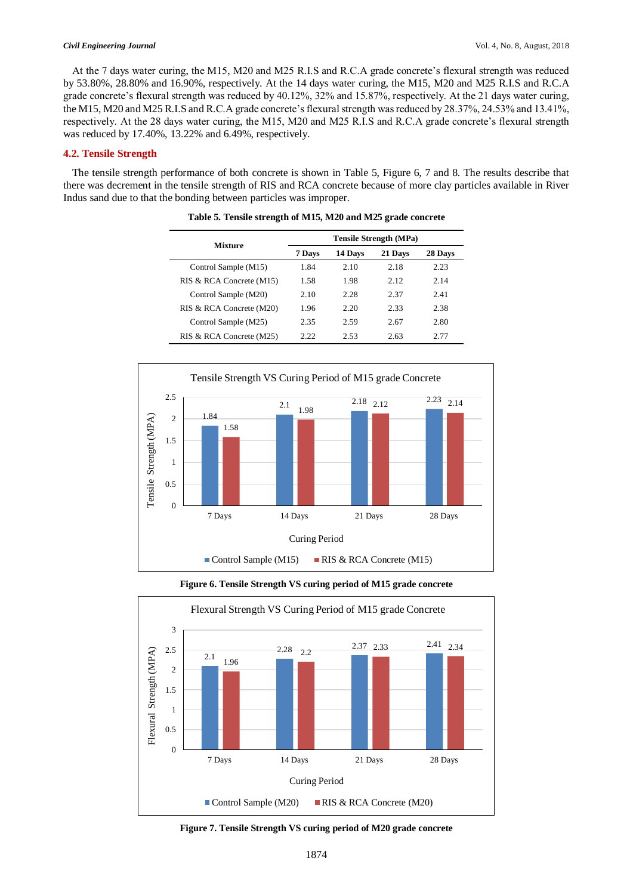At the 7 days water curing, the M15, M20 and M25 R.I.S and R.C.A grade concrete's flexural strength was reduced by 53.80%, 28.80% and 16.90%, respectively. At the 14 days water curing, the M15, M20 and M25 R.I.S and R.C.A grade concrete's flexural strength was reduced by 40.12%, 32% and 15.87%, respectively. At the 21 days water curing, the M15, M20 and M25 R.I.S and R.C.A grade concrete's flexural strength was reduced by 28.37%, 24.53% and 13.41%, respectively. At the 28 days water curing, the M15, M20 and M25 R.I.S and R.C.A grade concrete's flexural strength was reduced by 17.40%, 13.22% and 6.49%, respectively.

### **4.2. Tensile Strength**

The tensile strength performance of both concrete is shown in Table 5, Figure 6, 7 and 8. The results describe that there was decrement in the tensile strength of RIS and RCA concrete because of more clay particles available in River Indus sand due to that the bonding between particles was improper.

| <b>Mixture</b>           | <b>Tensile Strength (MPa)</b> |         |         |         |
|--------------------------|-------------------------------|---------|---------|---------|
|                          | 7 Days                        | 14 Days | 21 Days | 28 Days |
| Control Sample (M15)     | 1.84                          | 2.10    | 2.18    | 2.23    |
| RIS & RCA Concrete (M15) | 1.58                          | 1.98    | 2.12    | 2.14    |
| Control Sample (M20)     | 2.10                          | 2.28    | 2.37    | 2.41    |
| RIS & RCA Concrete (M20) | 1.96                          | 2.20    | 2.33    | 2.38    |
| Control Sample (M25)     | 2.35                          | 2.59    | 2.67    | 2.80    |
| RIS & RCA Concrete (M25) | 2.22                          | 2.53    | 2.63    | 2 77    |



**Table 5. Tensile strength of M15, M20 and M25 grade concrete**



**Figure 6. Tensile Strength VS curing period of M15 grade concrete**

**Figure 7. Tensile Strength VS curing period of M20 grade concrete**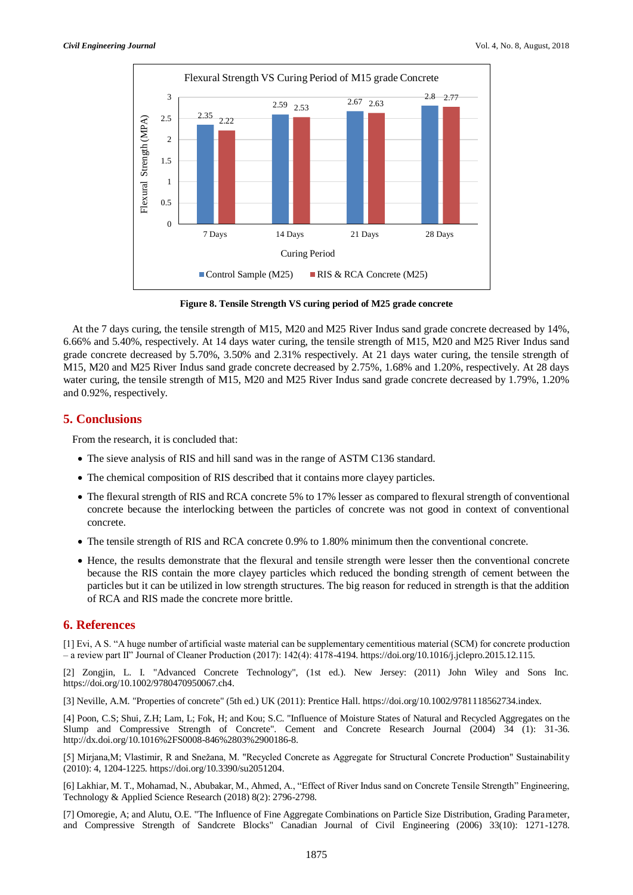

**Figure 8. Tensile Strength VS curing period of M25 grade concrete**

At the 7 days curing, the tensile strength of M15, M20 and M25 River Indus sand grade concrete decreased by 14%, 6.66% and 5.40%, respectively. At 14 days water curing, the tensile strength of M15, M20 and M25 River Indus sand grade concrete decreased by 5.70%, 3.50% and 2.31% respectively. At 21 days water curing, the tensile strength of M15, M20 and M25 River Indus sand grade concrete decreased by 2.75%, 1.68% and 1.20%, respectively. At 28 days water curing, the tensile strength of M15, M20 and M25 River Indus sand grade concrete decreased by 1.79%, 1.20% and 0.92%, respectively.

## **5. Conclusions**

From the research, it is concluded that:

- The sieve analysis of RIS and hill sand was in the range of ASTM C136 standard.
- The chemical composition of RIS described that it contains more clayey particles.
- The flexural strength of RIS and RCA concrete 5% to 17% lesser as compared to flexural strength of conventional concrete because the interlocking between the particles of concrete was not good in context of conventional concrete.
- The tensile strength of RIS and RCA concrete 0.9% to 1.80% minimum then the conventional concrete.
- Hence, the results demonstrate that the flexural and tensile strength were lesser then the conventional concrete because the RIS contain the more clayey particles which reduced the bonding strength of cement between the particles but it can be utilized in low strength structures. The big reason for reduced in strength is that the addition of RCA and RIS made the concrete more brittle.

# **6. References**

[1] Evi, A S. "A huge number of artificial waste material can be supplementary cementitious material (SCM) for concrete production – a review part II" Journal of Cleaner Production (2017): 142(4): 4178-4194. https://doi.org/10.1016/j.jclepro.2015.12.115.

[2] Zongjin, L. I. "Advanced Concrete Technology", (1st ed.). New Jersey: (2011) John Wiley and Sons Inc. https://doi.org/10.1002/9780470950067.ch4.

[3] Neville, A.M. "Properties of concrete" (5th ed.) UK (2011): Prentice Hall. https://doi.org/10.1002/9781118562734.index.

[4] Poon, C.S; Shui, Z.H; Lam, L; Fok, H; and Kou; S.C. "Influence of Moisture States of Natural and Recycled Aggregates on the Slump and Compressive Strength of Concrete". Cement and Concrete Research Journal (2004) 34 (1): 31-36. http://dx.doi.org/10.1016%2FS0008-846%2803%2900186-8.

[5] Mirjana,M; Vlastimir, R and Snežana, M. "Recycled Concrete as Aggregate for Structural Concrete Production" Sustainability (2010): 4, 1204-1225. https://doi.org/10.3390/su2051204.

[6] Lakhiar, M. T., Mohamad, N., Abubakar, M., Ahmed, A., "Effect of River Indus sand on Concrete Tensile Strength" Engineering, Technology & Applied Science Research (2018) 8(2): 2796-2798.

[7] Omoregie, A; and Alutu, O.E. "The Influence of Fine Aggregate Combinations on Particle Size Distribution, Grading Parameter, and Compressive Strength of Sandcrete Blocks" Canadian Journal of Civil Engineering (2006) 33(10): 1271-1278.